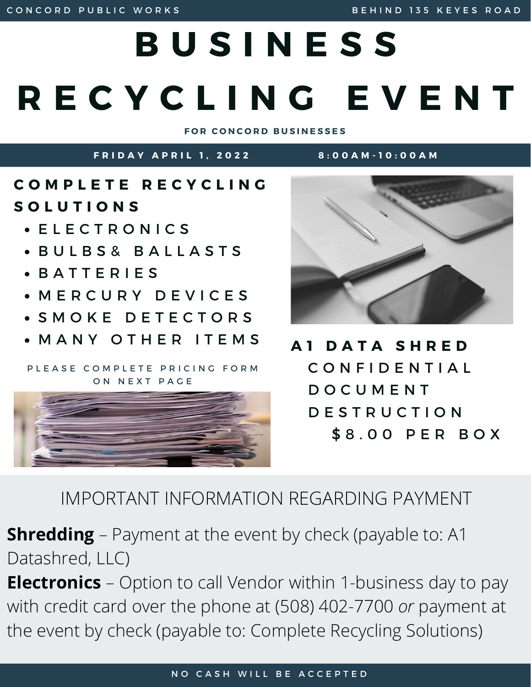## **B U S I N E S S R E C Y C L I N G E V E N T F O R C O N C O R D B U S I N E S S E S**

FRIDAY APRIL 1. 2022 8:00 AM-10:00 AM

**C O M P L E T E R E C Y C L I N G S O L U T I O N S**

- E L E C T R O N I C S
- **BULBS& BALLASTS**
- B A T T E R I E S
- M E R C U R Y D E V I C E S
- S M O K E D E T E C T O R S
- M A N Y O T H E R I T E M S

PLEASE COMPLETE PRICING FORM ON NEXT PAGE





**A 1 D A T A S H R E D** C O N F I D E N T I A L D O C U M E N T D E S T R U C T I O N \$8.00 PER BOX

IMPORTANT INFORMATION REGARDING PAYMENT

**Shredding** – Payment at the event by check (payable to: A1 Datashred, LLC)

**Electronics** – Option to call Vendor within 1-business day to pay with credit card over the phone at (508) 402-7700 *or* payment at the event by check (payable to: Complete Recycling Solutions)